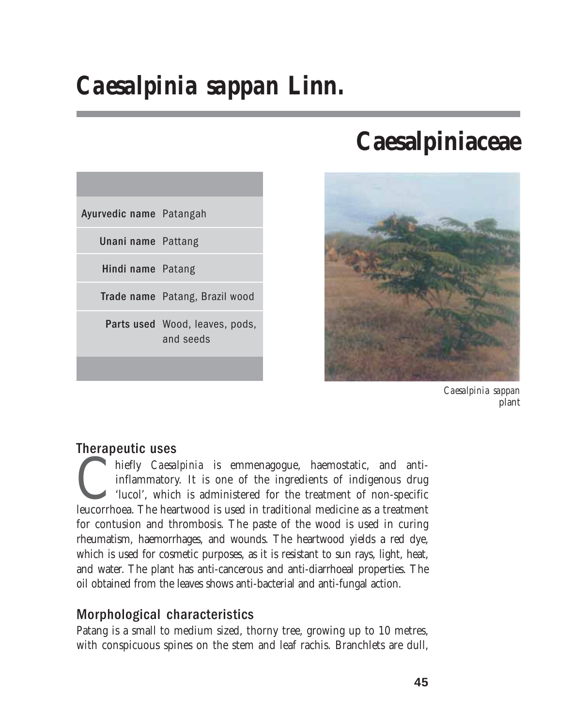# *Caesalpinia sappan* **Linn.**

| Ayurvedic name Patangah   |                                             |
|---------------------------|---------------------------------------------|
| <b>Unani name</b> Pattang |                                             |
| Hindi name Patang         |                                             |
|                           | Trade name Patang, Brazil wood              |
|                           | Parts used Wood, leaves, pods,<br>and seeds |
|                           |                                             |

# **Caesalpiniaceae**



*Caesalpinia sappan* plant

# Therapeutic uses

hiefly *Caesalpinia* is emmenagogue, haemostatic, and anti-<br>inflammatory. It is one of the ingredients of indigenous drug<br>'lucol', which is administered for the treatment of non-specific<br>leucorrhoea. The heartwood is used inflammatory. It is one of the ingredients of indigenous drug 'lucol', which is administered for the treatment of non-specific for contusion and thrombosis. The paste of the wood is used in curing rheumatism, haemorrhages, and wounds. The heartwood yields a red dye, which is used for cosmetic purposes, as it is resistant to sun rays, light, heat, and water. The plant has anti-cancerous and anti-diarrhoeal properties. The oil obtained from the leaves shows anti-bacterial and anti-fungal action.

# Morphological characteristics

Patang is a small to medium sized, thorny tree, growing up to 10 metres, with conspicuous spines on the stem and leaf rachis. Branchlets are dull,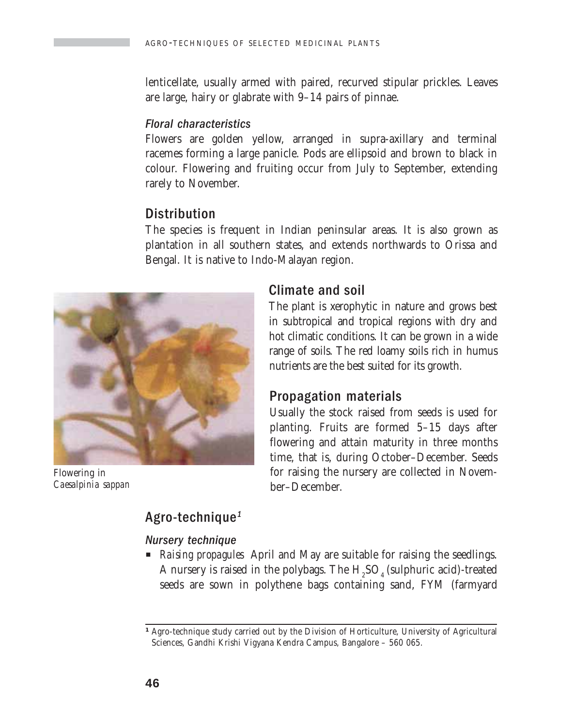lenticellate, usually armed with paired, recurved stipular prickles. Leaves are large, hairy or glabrate with 9–14 pairs of pinnae.

#### Floral characteristics

Flowers are golden yellow, arranged in supra-axillary and terminal racemes forming a large panicle. Pods are ellipsoid and brown to black in colour. Flowering and fruiting occur from July to September, extending rarely to November.

## **Distribution**

The species is frequent in Indian peninsular areas. It is also grown as plantation in all southern states, and extends northwards to Orissa and Bengal. It is native to Indo-Malayan region.



Flowering in *Caesalpinia sappan*

### Climate and soil

The plant is xerophytic in nature and grows best in subtropical and tropical regions with dry and hot climatic conditions. It can be grown in a wide range of soils. The red loamy soils rich in humus nutrients are the best suited for its growth.

### Propagation materials

Usually the stock raised from seeds is used for planting. Fruits are formed 5–15 days after flowering and attain maturity in three months time, that is, during October–December. Seeds for raising the nursery are collected in November–December.

## Agro-technique<sup>1</sup>

#### Nursery technique

**P** *Raising propagules* April and May are suitable for raising the seedlings. A nursery is raised in the polybags. The  $\mathrm{H}_2\mathrm{SO}_4$  (sulphuric acid)-treated seeds are sown in polythene bags containing sand, FYM (farmyard

*<sup>1</sup>* Agro-technique study carried out by the Division of Horticulture, University of Agricultural Sciences, Gandhi Krishi Vigyana Kendra Campus, Bangalore – 560 065.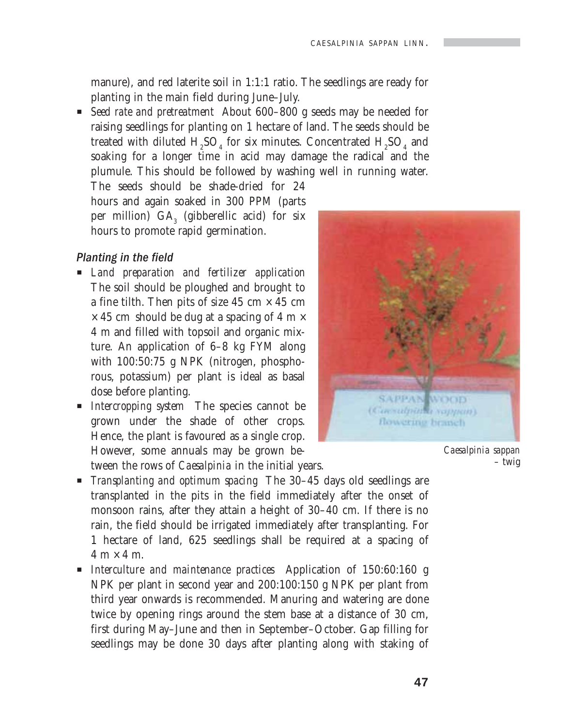manure), and red laterite soil in 1:1:1 ratio. The seedlings are ready for planting in the main field during June–July.

■ *Seed rate and pretreatment* About 600–800 g seeds may be needed for raising seedlings for planting on 1 hectare of land. The seeds should be treated with diluted  $\rm{H}_{2}SO_{4}$  for six minutes. Concentrated  $\rm{H}_{2}SO_{4}$  and soaking for a longer time in acid may damage the radical and the plumule. This should be followed by washing well in running water.

The seeds should be shade-dried for 24 hours and again soaked in 300 PPM (parts per million)  $\text{GA}_3$  (gibberellic acid) for six hours to promote rapid germination.

#### Planting in the field

- P *Land preparation and fertilizer application* The soil should be ploughed and brought to a fine tilth. Then pits of size 45 cm  $\times$  45 cm  $\times$  45 cm should be dug at a spacing of 4 m  $\times$ 4 m and filled with topsoil and organic mixture. An application of 6–8 kg FYM along with 100:50:75 g NPK (nitrogen, phosphorous, potassium) per plant is ideal as basal dose before planting.
- P *Intercropping system* The species cannot be grown under the shade of other crops. Hence, the plant is favoured as a single crop. However, some annuals may be grown between the rows of *Caesalpinia* in the initial years.



*Caesalpinia sappan* – twig

- P *Transplanting and optimum spacing* The 30–45 days old seedlings are transplanted in the pits in the field immediately after the onset of monsoon rains, after they attain a height of 30–40 cm. If there is no rain, the field should be irrigated immediately after transplanting. For 1 hectare of land, 625 seedlings shall be required at a spacing of  $4 \text{ m} \times 4 \text{ m}$ .
- P *Interculture and maintenance practices* Application of 150:60:160 g NPK per plant in second year and 200:100:150 g NPK per plant from third year onwards is recommended. Manuring and watering are done twice by opening rings around the stem base at a distance of 30 cm, first during May–June and then in September–October. Gap filling for seedlings may be done 30 days after planting along with staking of